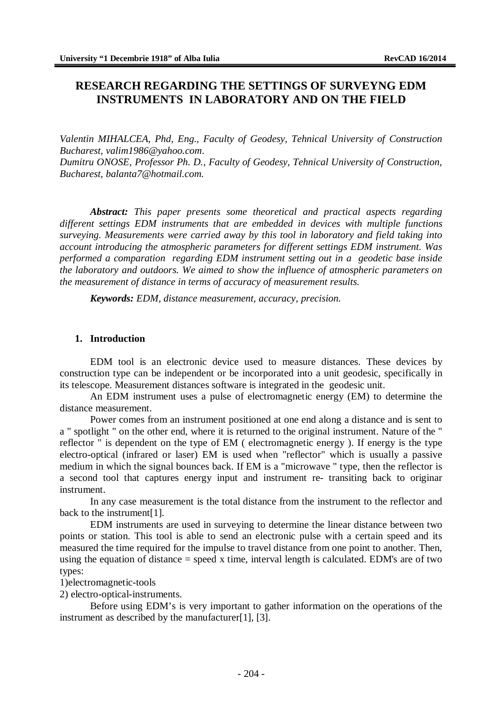# **RESEARCH REGARDING THE SETTINGS OF SURVEYNG EDM INSTRUMENTS IN LABORATORY AND ON THE FIELD**

*Valentin MIHALCEA, Phd, Eng., Faculty of Geodesy, Tehnical University of Construction Bucharest, [valim1986@yahoo.com](mailto:valim1986@yahoo.com)*.

*Dumitru ONOSE, Professor Ph. D., Faculty of Geodesy, Tehnical University of Construction, Bucharest, [balanta7@hotmail.com.](mailto:balanta7@hotmail.com.)*

*Abstract: This paper presents some theoretical and practical aspects regarding different settings EDM instruments that are embedded in devices with multiple functions surveying. Measurements were carried away by this tool in laboratory and field taking into account introducing the atmospheric parameters for different settings EDM instrument. Was performed a comparation regarding EDM instrument setting out in a geodetic base inside the laboratory and outdoors. We aimed to show the influence of atmospheric parameters on the measurement of distance in terms of accuracy of measurement results.*

*Keywords: EDM, distance measurement, accuracy*, *precision.*

#### **1. Introduction**

EDM tool is an electronic device used to measure distances. These devices by construction type can be independent or be incorporated into a unit geodesic, specifically in its telescope. Measurement distances software is integrated in the geodesic unit.

An EDM instrument uses a pulse of electromagnetic energy (EM) to determine the distance measurement.

Power comes from an instrument positioned at one end along a distance and is sent to a " spotlight " on the other end, where it is returned to the original instrument. Nature of the " reflector " is dependent on the type of EM ( electromagnetic energy ). If energy is the type electro-optical (infrared or laser) EM is used when "reflector" which is usually a passive medium in which the signal bounces back. If EM is a "microwave " type, then the reflector is a second tool that captures energy input and instrument re- transiting back to originar instrument.

In any case measurement is the total distance from the instrument to the reflector and back to the instrument[1].

EDM instruments are used in surveying to determine the linear distance between two points or station. This tool is able to send an electronic pulse with a certain speed and its measured the time required for the impulse to travel distance from one point to another. Then, using the equation of distance  $=$  speed x time, interval length is calculated. EDM's are of two types:

1)electromagnetic-tools

2) electro-optical-instruments.

Before using EDM's is very important to gather information on the operations of the instrument as described by the manufacturer[1], [3].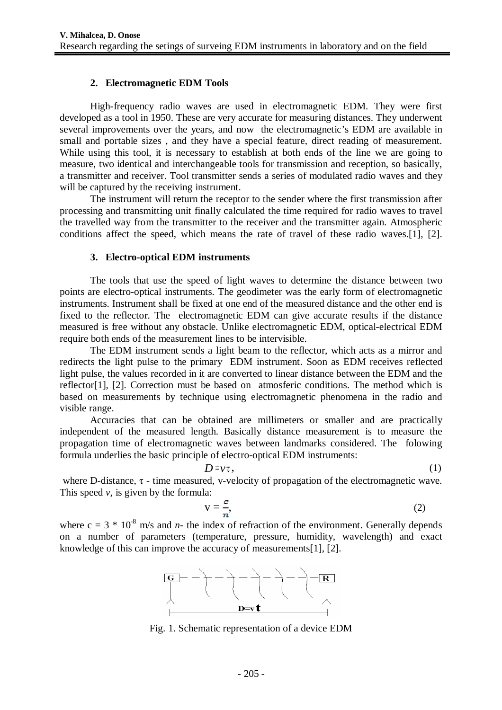### **2. Electromagnetic EDM Tools**

High-frequency radio waves are used in electromagnetic EDM. They were first developed as a tool in 1950. These are very accurate for measuring distances. They underwent several improvements over the years, and now the electromagnetic's EDM are available in small and portable sizes , and they have a special feature, direct reading of measurement. While using this tool, it is necessary to establish at both ends of the line we are going to measure, two identical and interchangeable tools for transmission and reception, so basically, a transmitter and receiver. Tool transmitter sends a series of modulated radio waves and they will be captured by the receiving instrument.

The instrument will return the receptor to the sender where the first transmission after processing and transmitting unit finally calculated the time required for radio waves to travel the travelled way from the transmitter to the receiver and the transmitter again. Atmospheric conditions affect the speed, which means the rate of travel of these radio waves.[1], [2].

#### **3. Electro-optical EDM instruments**

The tools that use the speed of light waves to determine the distance between two points are electro-optical instruments. The geodimeter was the early form of electromagnetic instruments. Instrument shall be fixed at one end of the measured distance and the other end is fixed to the reflector. The electromagnetic EDM can give accurate results if the distance measured is free without any obstacle. Unlike electromagnetic EDM, optical-electrical EDM require both ends of the measurement lines to be intervisible.

The EDM instrument sends a light beam to the reflector, which acts as a mirror and redirects the light pulse to the primary EDM instrument. Soon as EDM receives reflected light pulse, the values recorded in it are converted to linear distance between the EDM and the reflector<sup>[1]</sup>, [2]. Correction must be based on atmosferic conditions. The method which is based on measurements by technique using electromagnetic phenomena in the radio and visible range.

Accuracies that can be obtained are millimeters or smaller and are practically independent of the measured length. Basically distance measurement is to measure the propagation time of electromagnetic waves between landmarks considered. The folowing formula underlies the basic principle of electro-optical EDM instruments:

$$
D = \nu \tau, \tag{1}
$$

where D-distance,  $\tau$  - time measured, v-velocity of propagation of the electromagnetic wave. This speed *v*, is given by the formula:

$$
v = \frac{c}{n},\tag{2}
$$

where  $c = 3 * 10^{-8}$  m/s and *n*- the index of refraction of the environment. Generally depends on a number of parameters (temperature, pressure, humidity, wavelength) and exact knowledge of this can improve the accuracy of measurements[1], [2].



Fig. 1. Schematic representation of a device EDM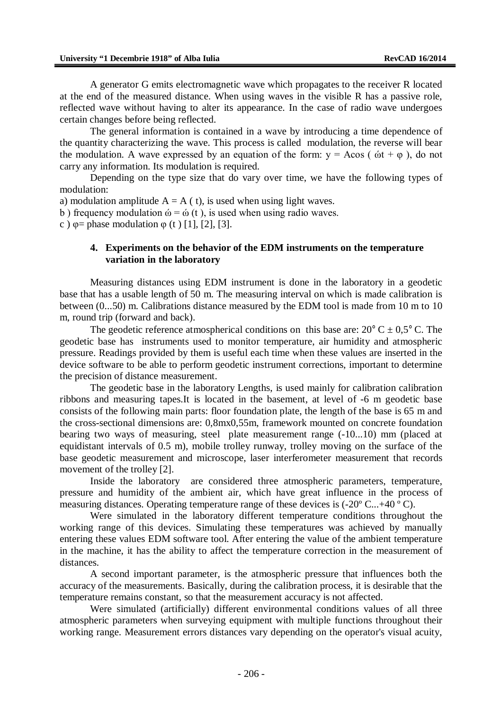A generator G emits electromagnetic wave which propagates to the receiver R located at the end of the measured distance. When using waves in the visible R has a passive role, reflected wave without having to alter its appearance. In the case of radio wave undergoes certain changes before being reflected.

The general information is contained in a wave by introducing a time dependence of the quantity characterizing the wave. This process is called modulation, the reverse will bear the modulation. A wave expressed by an equation of the form:  $y = A\cos(\omega t + \varphi)$ , do not carry any information. Its modulation is required.

Depending on the type size that do vary over time, we have the following types of modulation:

a) modulation amplitude  $A = A(t)$ , is used when using light waves.

b) frequency modulation  $\dot{\omega} = \dot{\omega}$  (t), is used when using radio waves.

c )  $\varphi$  = phase modulation  $\varphi$  (t ) [1], [2], [3].

### **4. Experiments on the behavior of the EDM instruments on the temperature variation in the laboratory**

Measuring distances using EDM instrument is done in the laboratory in a geodetic base that has a usable length of 50 m. The measuring interval on which is made calibration is between (0...50) m. Calibrations distance measured by the EDM tool is made from 10 m to 10 m, round trip (forward and back).

The geodetic reference atmospherical conditions on this base are:  $20^{\circ}$  C  $\pm$  0,5° C. The geodetic base has instruments used to monitor temperature, air humidity and atmospheric pressure. Readings provided by them is useful each time when these values are inserted in the device software to be able to perform geodetic instrument corrections, important to determine the precision of distance measurement.

The geodetic base in the laboratory Lengths, is used mainly for calibration calibration ribbons and measuring tapes.It is located in the basement, at level of -6 m geodetic base consists of the following main parts: floor foundation plate, the length of the base is 65 m and the cross-sectional dimensions are: 0,8mx0,55m, framework mounted on concrete foundation bearing two ways of measuring, steel plate measurement range (-10...10) mm (placed at equidistant intervals of 0.5 m), mobile trolley runway, trolley moving on the surface of the base geodetic measurement and microscope, laser interferometer measurement that records movement of the trolley [2].

Inside the laboratory are considered three atmospheric parameters, temperature, pressure and humidity of the ambient air, which have great influence in the process of measuring distances. Operating temperature range of these devices is (-20º C...+40 º C).

Were simulated in the laboratory different temperature conditions throughout the working range of this devices. Simulating these temperatures was achieved by manually entering these values EDM software tool. After entering the value of the ambient temperature in the machine, it has the ability to affect the temperature correction in the measurement of distances.

A second important parameter, is the atmospheric pressure that influences both the accuracy of the measurements. Basically, during the calibration process, it is desirable that the temperature remains constant, so that the measurement accuracy is not affected.

Were simulated (artificially) different environmental conditions values of all three atmospheric parameters when surveying equipment with multiple functions throughout their working range. Measurement errors distances vary depending on the operator's visual acuity,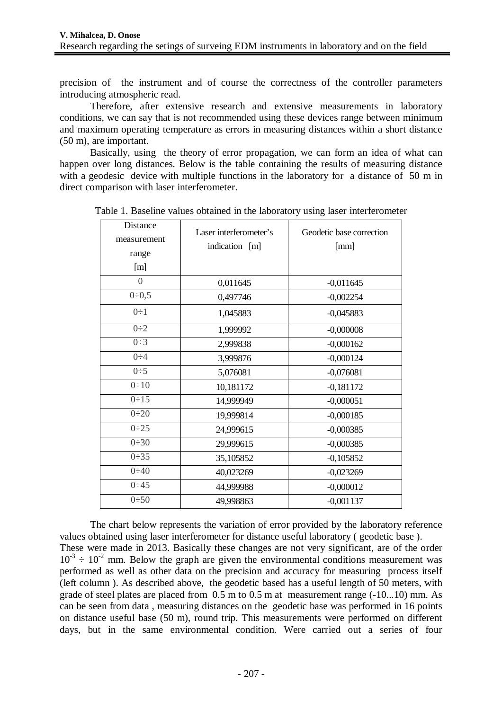precision of the instrument and of course the correctness of the controller parameters introducing atmospheric read.

Therefore, after extensive research and extensive measurements in laboratory conditions, we can say that is not recommended using these devices range between minimum and maximum operating temperature as errors in measuring distances within a short distance (50 m), are important.

Basically, using the theory of error propagation, we can form an idea of what can happen over long distances. Below is the table containing the results of measuring distance with a geodesic device with multiple functions in the laboratory for a distance of 50 m in direct comparison with laser interferometer.

| Distance       | Laser interferometer's | Geodetic base correction<br>[mm] |  |  |  |
|----------------|------------------------|----------------------------------|--|--|--|
| measurement    | indication [m]         |                                  |  |  |  |
| range          |                        |                                  |  |  |  |
| [m]            |                        |                                  |  |  |  |
| $\overline{0}$ | 0,011645               | $-0,011645$                      |  |  |  |
| 0:0,5          | 0,497746               | $-0,002254$                      |  |  |  |
| $0\div 1$      | 1,045883               | $-0,045883$                      |  |  |  |
| $0\div 2$      | 1,999992               | $-0,000008$                      |  |  |  |
| $0\div 3$      | 2,999838               | $-0,000162$                      |  |  |  |
| $0\div 4$      | 3,999876               | $-0,000124$                      |  |  |  |
| $0\div 5$      | 5,076081               | $-0,076081$                      |  |  |  |
| 0:10           | 10,181172              | $-0,181172$                      |  |  |  |
| 0:15           | 14,999949              | $-0,000051$                      |  |  |  |
| 0:20           | 19,999814              | $-0,000185$                      |  |  |  |
| 0:25           | 24,999615              | $-0,000385$                      |  |  |  |
| 0:30           | 29,999615              | $-0,000385$                      |  |  |  |
| 0:35           | 35,105852              | $-0,105852$                      |  |  |  |
| 0:40           | 40,023269              | $-0,023269$                      |  |  |  |
| 0:45           | 44,999988              | $-0,000012$                      |  |  |  |
| 0:50           | 49,998863              | $-0,001137$                      |  |  |  |

Table 1. Baseline values obtained in the laboratory using laser interferometer

The chart below represents the variation of error provided by the laboratory reference values obtained using laser interferometer for distance useful laboratory ( geodetic base ). These were made in 2013. Basically these changes are not very significant, are of the order  $10^{-3} \div 10^{-2}$  mm. Below the graph are given the environmental conditions measurement was performed as well as other data on the precision and accuracy for measuring process itself (left column ). As described above, the geodetic based has a useful length of 50 meters, with grade of steel plates are placed from 0.5 m to 0.5 m at measurement range (-10...10) mm. As can be seen from data , measuring distances on the geodetic base was performed in 16 points on distance useful base (50 m), round trip. This measurements were performed on different days, but in the same environmental condition. Were carried out a series of four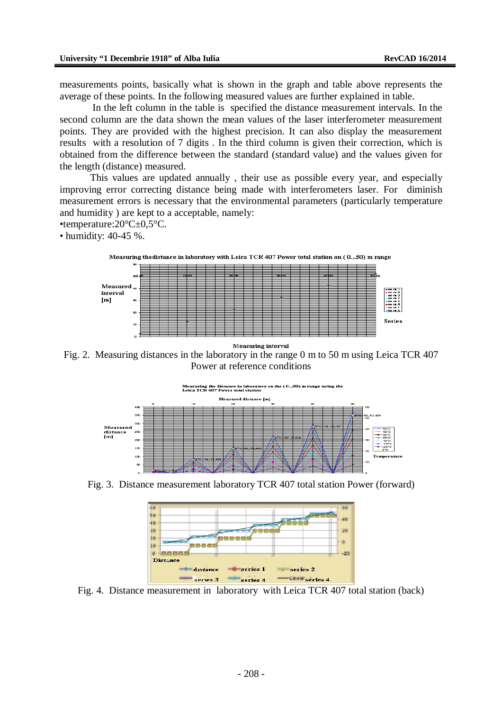measurements points, basically what is shown in the graph and table above represents the average of these points. In the following measured values are further explained in table.

In the left column in the table is specified the distance measurement intervals. In the second column are the data shown the mean values of the laser interferometer measurement points. They are provided with the highest precision. It can also display the measurement results with a resolution of 7 digits . In the third column is given their correction, which is obtained from the difference between the standard (standard value) and the values given for the length (distance) measured.

This values are updated annually , their use as possible every year, and especially improving error correcting distance being made with interferometers laser. For diminish measurement errors is necessary that the environmental parameters (particularly temperature and humidity ) are kept to a acceptable, namely:

•temperature:20°C±0,5°C.

• humidity: 40-45 %.





Measuring interval

Fig. 2. Measuring distances in the laboratory in the range 0 m to 50 m using Leica TCR 407 Power at reference conditions



Fig. 3. Distance measurement laboratory TCR 407 total station Power (forward)



Fig. 4. Distance measurement in laboratory with Leica TCR 407 total station (back)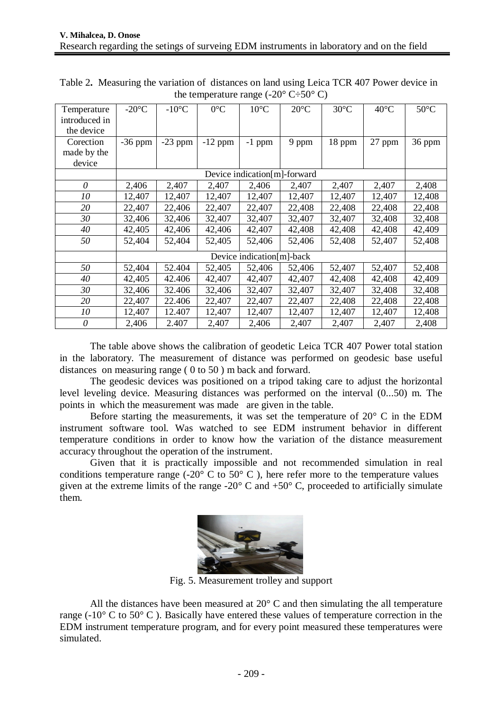| Temperature   | $-20^{\circ}$ C              | $-10$ °C  | $0^{\circ}C$ | $10^{\circ}$ C | $20^{\circ}$ C | $30^{\circ}$ C | $40^{\circ}$ C | $50^{\circ}$ C |
|---------------|------------------------------|-----------|--------------|----------------|----------------|----------------|----------------|----------------|
| introduced in |                              |           |              |                |                |                |                |                |
| the device    |                              |           |              |                |                |                |                |                |
| Corection     | $-36$ ppm                    | $-23$ ppm | $-12$ ppm    | $-1$ ppm       | 9 ppm          | 18 ppm         | 27 ppm         | 36 ppm         |
| made by the   |                              |           |              |                |                |                |                |                |
| device        |                              |           |              |                |                |                |                |                |
|               | Device indication[m]-forward |           |              |                |                |                |                |                |
| $\theta$      | 2,406                        | 2,407     | 2,407        | 2,406          | 2,407          | 2,407          | 2,407          | 2,408          |
| 10            | 12,407                       | 12,407    | 12,407       | 12,407         | 12,407         | 12,407         | 12,407         | 12,408         |
| 20            | 22,407                       | 22,406    | 22,407       | 22,407         | 22,408         | 22,408         | 22,408         | 22,408         |
| 30            | 32,406                       | 32,406    | 32,407       | 32,407         | 32,407         | 32,407         | 32,408         | 32,408         |
| 40            | 42,405                       | 42,406    | 42,406       | 42,407         | 42,408         | 42,408         | 42,408         | 42,409         |
| 50            | 52,404                       | 52,404    | 52,405       | 52,406         | 52,406         | 52,408         | 52,407         | 52,408         |
|               | Device indication[m]-back    |           |              |                |                |                |                |                |
| 50            | 52,404                       | 52.404    | 52,405       | 52,406         | 52,406         | 52,407         | 52,407         | 52,408         |
| 40            | 42,405                       | 42.406    | 42,407       | 42,407         | 42,407         | 42,408         | 42,408         | 42,409         |
| 30            | 32,406                       | 32.406    | 32,406       | 32,407         | 32,407         | 32,407         | 32,408         | 32,408         |
| 20            | 22,407                       | 22.406    | 22,407       | 22,407         | 22,407         | 22,408         | 22,408         | 22,408         |
| 10            | 12,407                       | 12.407    | 12,407       | 12,407         | 12,407         | 12,407         | 12,407         | 12,408         |
| 0             | 2,406                        | 2.407     | 2,407        | 2,406          | 2,407          | 2,407          | 2,407          | 2,408          |

Table 2**.** Measuring the variation of distances on land using Leica TCR 407 Power device in the temperature range  $(-20^{\circ} \text{ C} \div 50^{\circ} \text{ C})$ 

The table above shows the calibration of geodetic Leica TCR 407 Power total station in the laboratory. The measurement of distance was performed on geodesic base useful distances on measuring range ( 0 to 50 ) m back and forward.

The geodesic devices was positioned on a tripod taking care to adjust the horizontal level leveling device. Measuring distances was performed on the interval (0...50) m. The points in which the measurement was made are given in the table.

Before starting the measurements, it was set the temperature of  $20^{\circ}$  C in the EDM instrument software tool. Was watched to see EDM instrument behavior in different temperature conditions in order to know how the variation of the distance measurement accuracy throughout the operation of the instrument.

Given that it is practically impossible and not recommended simulation in real conditions temperature range (-20 $^{\circ}$  C to 50 $^{\circ}$  C), here refer more to the temperature values given at the extreme limits of the range -20 $^{\circ}$  C and +50 $^{\circ}$  C, proceeded to artificially simulate them.



Fig. 5. Measurement trolley and support

All the distances have been measured at 20° C and then simulating the all temperature range ( $-10^{\circ}$  C to 50 $^{\circ}$  C). Basically have entered these values of temperature correction in the EDM instrument temperature program, and for every point measured these temperatures were simulated.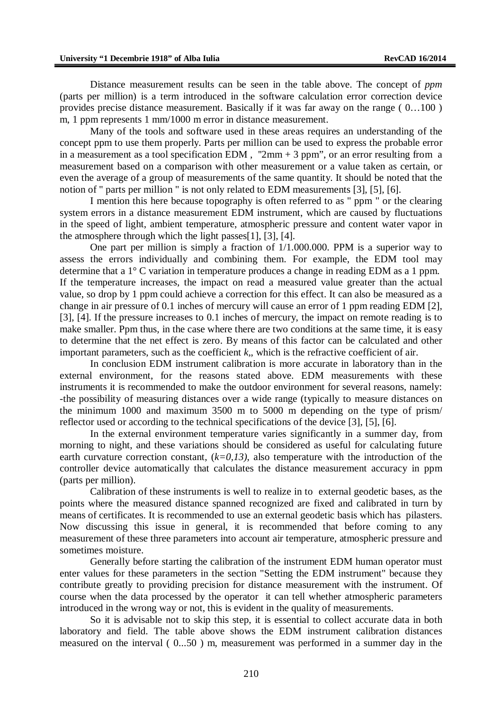Distance measurement results can be seen in the table above. The concept of *ppm* (parts per million) is a term introduced in the software calculation error correction device provides precise distance measurement. Basically if it was far away on the range ( 0…100 ) m, 1 ppm represents 1 mm/1000 m error in distance measurement.

Many of the tools and software used in these areas requires an understanding of the concept ppm to use them properly. Parts per million can be used to express the probable error in a measurement as a tool specification EDM, "2mm  $+$  3 ppm", or an error resulting from a measurement based on a comparison with other measurement or a value taken as certain, or even the average of a group of measurements of the same quantity. It should be noted that the notion of " parts per million " is not only related to EDM measurements [3], [5], [6].

I mention this here because topography is often referred to as " ppm " or the clearing system errors in a distance measurement EDM instrument, which are caused by fluctuations in the speed of light, ambient temperature, atmospheric pressure and content water vapor in the atmosphere through which the light passes[1], [3], [4].

One part per million is simply a fraction of 1/1.000.000. PPM is a superior way to assess the errors individually and combining them. For example, the EDM tool may determine that a 1° C variation in temperature produces a change in reading EDM as a 1 ppm. If the temperature increases, the impact on read a measured value greater than the actual value, so drop by 1 ppm could achieve a correction for this effect. It can also be measured as a change in air pressure of 0.1 inches of mercury will cause an error of 1 ppm reading EDM [2], [3], [4]. If the pressure increases to 0.1 inches of mercury, the impact on remote reading is to make smaller. Ppm thus, in the case where there are two conditions at the same time, it is easy to determine that the net effect is zero. By means of this factor can be calculated and other important parameters, such as the coefficient  $k$ , which is the refractive coefficient of air.

In conclusion EDM instrument calibration is more accurate in laboratory than in the external environment, for the reasons stated above. EDM measurements with these instruments it is recommended to make the outdoor environment for several reasons, namely: -the possibility of measuring distances over a wide range (typically to measure distances on the minimum 1000 and maximum 3500 m to 5000 m depending on the type of prism/ reflector used or according to the technical specifications of the device [3], [5], [6].

In the external environment temperature varies significantly in a summer day, from morning to night, and these variations should be considered as useful for calculating future earth curvature correction constant,  $(k=0,13)$ , also temperature with the introduction of the controller device automatically that calculates the distance measurement accuracy in ppm (parts per million).

Calibration of these instruments is well to realize in to external geodetic bases, as the points where the measured distance spanned recognized are fixed and calibrated in turn by means of certificates. It is recommended to use an external geodetic basis which has pilasters. Now discussing this issue in general, it is recommended that before coming to any measurement of these three parameters into account air temperature, atmospheric pressure and sometimes moisture.

Generally before starting the calibration of the instrument EDM human operator must enter values for these parameters in the section "Setting the EDM instrument" because they contribute greatly to providing precision for distance measurement with the instrument. Of course when the data processed by the operator it can tell whether atmospheric parameters introduced in the wrong way or not, this is evident in the quality of measurements.

So it is advisable not to skip this step, it is essential to collect accurate data in both laboratory and field. The table above shows the EDM instrument calibration distances measured on the interval ( 0...50 ) m, measurement was performed in a summer day in the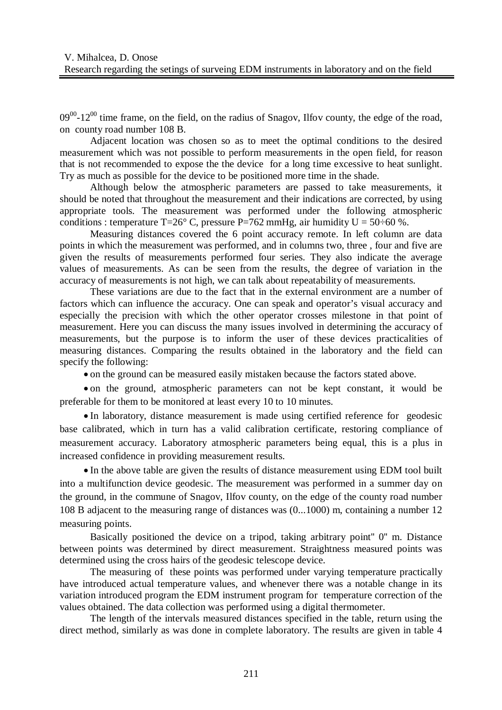$09^{00}$ -12<sup>00</sup> time frame, on the field, on the radius of Snagov, Ilfov county, the edge of the road, on county road number 108 B.

Adjacent location was chosen so as to meet the optimal conditions to the desired measurement which was not possible to perform measurements in the open field, for reason that is not recommended to expose the the device for a long time excessive to heat sunlight. Try as much as possible for the device to be positioned more time in the shade.

Although below the atmospheric parameters are passed to take measurements, it should be noted that throughout the measurement and their indications are corrected, by using appropriate tools. The measurement was performed under the following atmospheric conditions : temperature T=26° C, pressure P=762 mmHg, air humidity U =  $50\div 60$  %.

Measuring distances covered the 6 point accuracy remote. In left column are data points in which the measurement was performed, and in columns two, three , four and five are given the results of measurements performed four series. They also indicate the average values of measurements. As can be seen from the results, the degree of variation in the accuracy of measurements is not high, we can talk about repeatability of measurements.

These variations are due to the fact that in the external environment are a number of factors which can influence the accuracy. One can speak and operator's visual accuracy and especially the precision with which the other operator crosses milestone in that point of measurement. Here you can discuss the many issues involved in determining the accuracy of measurements, but the purpose is to inform the user of these devices practicalities of measuring distances. Comparing the results obtained in the laboratory and the field can specify the following:

on the ground can be measured easily mistaken because the factors stated above.

 on the ground, atmospheric parameters can not be kept constant, it would be preferable for them to be monitored at least every 10 to 10 minutes.

 In laboratory, distance measurement is made using certified reference for geodesic base calibrated, which in turn has a valid calibration certificate, restoring compliance of measurement accuracy. Laboratory atmospheric parameters being equal, this is a plus in increased confidence in providing measurement results.

 In the above table are given the results of distance measurement using EDM tool built into a multifunction device geodesic. The measurement was performed in a summer day on the ground, in the commune of Snagov, Ilfov county, on the edge of the county road number 108 B adjacent to the measuring range of distances was (0...1000) m, containing a number 12 measuring points.

Basically positioned the device on a tripod, taking arbitrary point" 0" m. Distance between points was determined by direct measurement. Straightness measured points was determined using the cross hairs of the geodesic telescope device.

The measuring of these points was performed under varying temperature practically have introduced actual temperature values, and whenever there was a notable change in its variation introduced program the EDM instrument program for temperature correction of the values obtained. The data collection was performed using a digital thermometer.

The length of the intervals measured distances specified in the table, return using the direct method, similarly as was done in complete laboratory. The results are given in table 4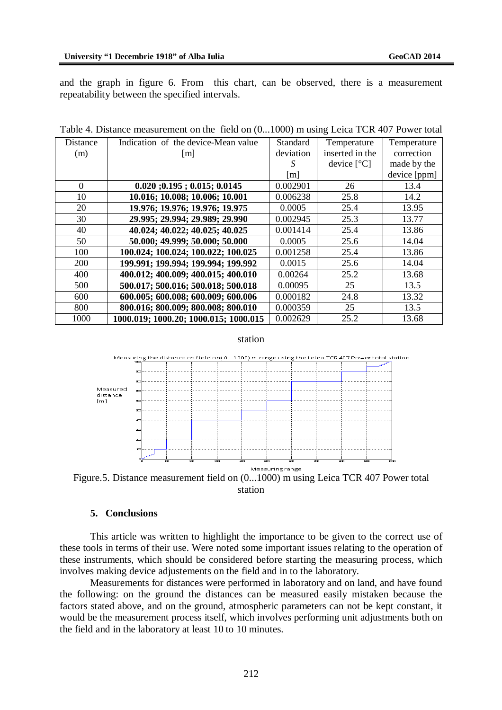and the graph in figure 6. From this chart, can be observed, there is a measurement repeatability between the specified intervals.

| Distance | Indication of the device-Mean value    | Standard          | Temperature          | Temperature  |
|----------|----------------------------------------|-------------------|----------------------|--------------|
| (m)      | m                                      | deviation         | inserted in the      | correction   |
|          |                                        | S                 | device $[^{\circ}C]$ | made by the  |
|          |                                        | $\lceil m \rceil$ |                      | device [ppm] |
| $\Omega$ | $0.020$ ; $0.195$ ; $0.015$ ; $0.0145$ | 0.002901          | 26                   | 13.4         |
| 10       | 10.016; 10.008; 10.006; 10.001         | 0.006238          | 25.8                 | 14.2         |
| 20       | 19.976; 19.976; 19.976; 19.975         | 0.0005            | 25.4                 | 13.95        |
| 30       | 29.995; 29.994; 29.989; 29.990         | 0.002945          | 25.3                 | 13.77        |
| 40       | 40.024; 40.022; 40.025; 40.025         | 0.001414          | 25.4                 | 13.86        |
| 50       | 50.000; 49.999; 50.000; 50.000         | 0.0005            | 25.6                 | 14.04        |
| 100      | 100.024; 100.024; 100.022; 100.025     | 0.001258          | 25.4                 | 13.86        |
| 200      | 199.991; 199.994; 199.994; 199.992     | 0.0015            | 25.6                 | 14.04        |
| 400      | 400.012; 400.009; 400.015; 400.010     | 0.00264           | 25.2                 | 13.68        |
| 500      | 500.017; 500.016; 500.018; 500.018     | 0.00095           | 25                   | 13.5         |
| 600      | 600.005; 600.008; 600.009; 600.006     | 0.000182          | 24.8                 | 13.32        |
| 800      | 800.016; 800.009; 800.008; 800.010     | 0.000359          | 25                   | 13.5         |
| 1000     | 1000.019; 1000.20; 1000.015; 1000.015  | 0.002629          | 25.2                 | 13.68        |

Table 4. Distance measurement on the field on (0...1000) m using Leica TCR 407 Power total

#### station



station

### **5. Conclusions**

This article was written to highlight the importance to be given to the correct use of these tools in terms of their use. Were noted some important issues relating to the operation of these instruments, which should be considered before starting the measuring process, which involves making device adjustements on the field and in to the laboratory.

Measurements for distances were performed in laboratory and on land, and have found the following: on the ground the distances can be measured easily mistaken because the factors stated above, and on the ground, atmospheric parameters can not be kept constant, it would be the measurement process itself, which involves performing unit adjustments both on the field and in the laboratory at least 10 to 10 minutes.